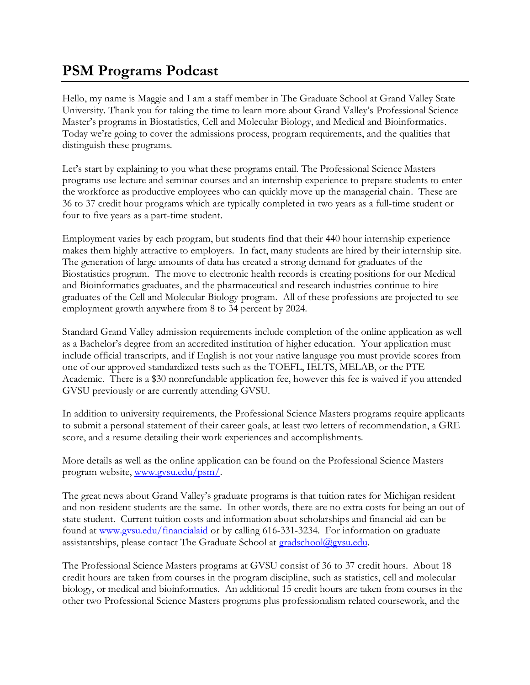## **PSM Programs Podcast**

Hello, my name is Maggie and I am a staff member in The Graduate School at Grand Valley State University. Thank you for taking the time to learn more about Grand Valley's Professional Science Master's programs in Biostatistics, Cell and Molecular Biology, and Medical and Bioinformatics. Today we're going to cover the admissions process, program requirements, and the qualities that distinguish these programs.

Let's start by explaining to you what these programs entail. The Professional Science Masters programs use lecture and seminar courses and an internship experience to prepare students to enter the workforce as productive employees who can quickly move up the managerial chain. These are 36 to 37 credit hour programs which are typically completed in two years as a full-time student or four to five years as a part-time student.

Employment varies by each program, but students find that their 440 hour internship experience makes them highly attractive to employers. In fact, many students are hired by their internship site. The generation of large amounts of data has created a strong demand for graduates of the Biostatistics program. The move to electronic health records is creating positions for our Medical and Bioinformatics graduates, and the pharmaceutical and research industries continue to hire graduates of the Cell and Molecular Biology program. All of these professions are projected to see employment growth anywhere from 8 to 34 percent by 2024.

Standard Grand Valley admission requirements include completion of the online application as well as a Bachelor's degree from an accredited institution of higher education. Your application must include official transcripts, and if English is not your native language you must provide scores from one of our approved standardized tests such as the TOEFL, IELTS, MELAB, or the PTE Academic. There is a \$30 nonrefundable application fee, however this fee is waived if you attended GVSU previously or are currently attending GVSU.

In addition to university requirements, the Professional Science Masters programs require applicants to submit a personal statement of their career goals, at least two letters of recommendation, a GRE score, and a resume detailing their work experiences and accomplishments.

More details as well as the online application can be found on the Professional Science Masters program website, [www.gvsu.edu/psm/.](http://www.gvsu.edu/psm/)

The great news about Grand Valley's graduate programs is that tuition rates for Michigan resident and non-resident students are the same. In other words, there are no extra costs for being an out of state student. Current tuition costs and information about scholarships and financial aid can be found at [www.gvsu.edu/financialaid](http://www.gvsu.edu/financialaid) or by calling 616-331-3234. For information on graduate assistantships, please contact The Graduate School at [gradschool@gvsu.edu.](mailto:gradschool@gvsu.edu)

The Professional Science Masters programs at GVSU consist of 36 to 37 credit hours. About 18 credit hours are taken from courses in the program discipline, such as statistics, cell and molecular biology, or medical and bioinformatics. An additional 15 credit hours are taken from courses in the other two Professional Science Masters programs plus professionalism related coursework, and the